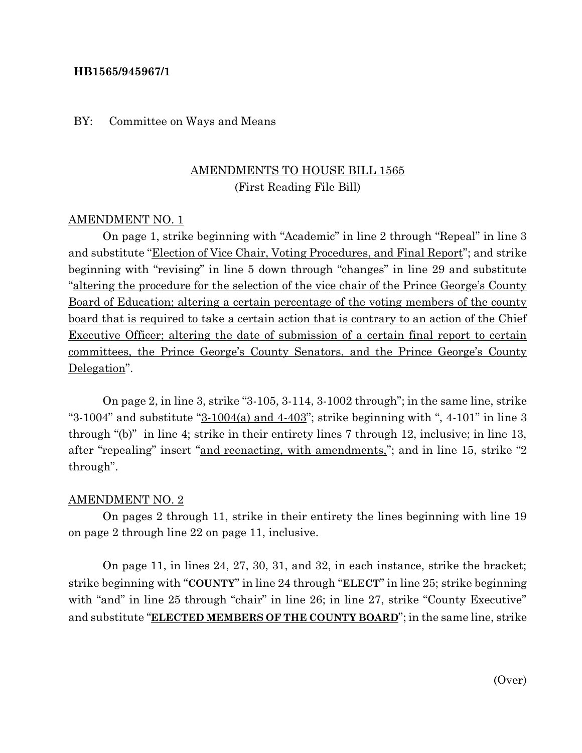# **HB1565/945967/1**

#### BY: Committee on Ways and Means

# AMENDMENTS TO HOUSE BILL 1565 (First Reading File Bill)

### AMENDMENT NO. 1

On page 1, strike beginning with "Academic" in line 2 through "Repeal" in line 3 and substitute "Election of Vice Chair, Voting Procedures, and Final Report"; and strike beginning with "revising" in line 5 down through "changes" in line 29 and substitute "altering the procedure for the selection of the vice chair of the Prince George's County Board of Education; altering a certain percentage of the voting members of the county board that is required to take a certain action that is contrary to an action of the Chief Executive Officer; altering the date of submission of a certain final report to certain committees, the Prince George's County Senators, and the Prince George's County Delegation".

On page 2, in line 3, strike "3-105, 3-114, 3-1002 through"; in the same line, strike "3-1004" and substitute " $3$ -1004(a) and  $4$ -403"; strike beginning with ", 4-101" in line 3 through "(b)" in line 4; strike in their entirety lines 7 through 12, inclusive; in line 13, after "repealing" insert "and reenacting, with amendments,"; and in line 15, strike "2 through".

#### AMENDMENT NO. 2

On pages 2 through 11, strike in their entirety the lines beginning with line 19 on page 2 through line 22 on page 11, inclusive.

On page 11, in lines 24, 27, 30, 31, and 32, in each instance, strike the bracket; strike beginning with "**COUNTY**" in line 24 through "**ELECT**" in line 25; strike beginning with "and" in line 25 through "chair" in line 26; in line 27, strike "County Executive" and substitute "**ELECTED MEMBERS OF THE COUNTY BOARD**"; in the same line, strike